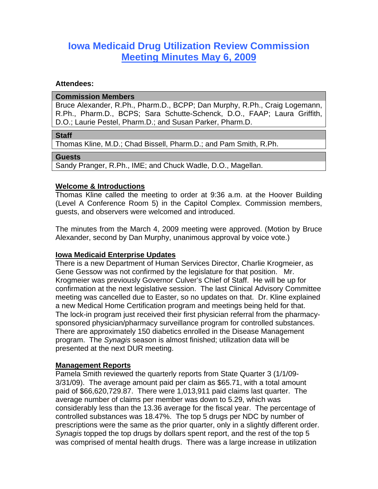# **Iowa Medicaid Drug Utilization Review Commission Meeting Minutes May 6, 2009**

#### **Attendees:**

#### **Commission Members**

Bruce Alexander, R.Ph., Pharm.D., BCPP; Dan Murphy, R.Ph., Craig Logemann, R.Ph., Pharm.D., BCPS; Sara Schutte-Schenck, D.O., FAAP; Laura Griffith, D.O.; Laurie Pestel, Pharm.D.; and Susan Parker, Pharm.D.

#### **Staff**

Thomas Kline, M.D.; Chad Bissell, Pharm.D.; and Pam Smith, R.Ph.

#### **Guests**

Sandy Pranger, R.Ph., IME; and Chuck Wadle, D.O., Magellan.

### **Welcome & Introductions**

Thomas Kline called the meeting to order at 9:36 a.m. at the Hoover Building (Level A Conference Room 5) in the Capitol Complex. Commission members, guests, and observers were welcomed and introduced.

The minutes from the March 4, 2009 meeting were approved. (Motion by Bruce Alexander, second by Dan Murphy, unanimous approval by voice vote.)

## **Iowa Medicaid Enterprise Updates**

There is a new Department of Human Services Director, Charlie Krogmeier, as Gene Gessow was not confirmed by the legislature for that position. Mr. Krogmeier was previously Governor Culver's Chief of Staff. He will be up for confirmation at the next legislative session. The last Clinical Advisory Committee meeting was cancelled due to Easter, so no updates on that. Dr. Kline explained a new Medical Home Certification program and meetings being held for that. The lock-in program just received their first physician referral from the pharmacysponsored physician/pharmacy surveillance program for controlled substances. There are approximately 150 diabetics enrolled in the Disease Management program. The *Synagis* season is almost finished; utilization data will be presented at the next DUR meeting.

#### **Management Reports**

Pamela Smith reviewed the quarterly reports from State Quarter 3 (1/1/09- 3/31/09). The average amount paid per claim as \$65.71, with a total amount paid of \$66,620,729.87. There were 1,013,911 paid claims last quarter. The average number of claims per member was down to 5.29, which was considerably less than the 13.36 average for the fiscal year. The percentage of controlled substances was 18.47%. The top 5 drugs per NDC by number of prescriptions were the same as the prior quarter, only in a slightly different order. *Synagis* topped the top drugs by dollars spent report, and the rest of the top 5 was comprised of mental health drugs. There was a large increase in utilization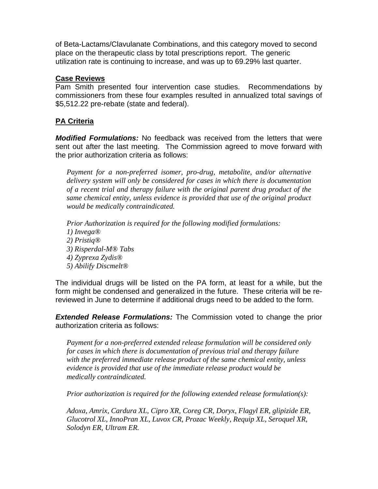of Beta-Lactams/Clavulanate Combinations, and this category moved to second place on the therapeutic class by total prescriptions report. The generic utilization rate is continuing to increase, and was up to 69.29% last quarter.

## **Case Reviews**

Pam Smith presented four intervention case studies. Recommendations by commissioners from these four examples resulted in annualized total savings of \$5,512.22 pre-rebate (state and federal).

# **PA Criteria**

*Modified Formulations:* No feedback was received from the letters that were sent out after the last meeting. The Commission agreed to move forward with the prior authorization criteria as follows:

*Payment for a non-preferred isomer, pro-drug, metabolite, and/or alternative delivery system will only be considered for cases in which there is documentation of a recent trial and therapy failure with the original parent drug product of the same chemical entity, unless evidence is provided that use of the original product would be medically contraindicated.* 

*Prior Authorization is required for the following modified formulations: 1) Invega® 2) Pristiq® 3) Risperdal-M® Tabs 4) Zyprexa Zydis® 5) Abilify Discmelt®* 

The individual drugs will be listed on the PA form, at least for a while, but the form might be condensed and generalized in the future. These criteria will be rereviewed in June to determine if additional drugs need to be added to the form.

*Extended Release Formulations:* The Commission voted to change the prior authorization criteria as follows:

*Payment for a non-preferred extended release formulation will be considered only for cases in which there is documentation of previous trial and therapy failure with the preferred immediate release product of the same chemical entity, unless evidence is provided that use of the immediate release product would be medically contraindicated.* 

*Prior authorization is required for the following extended release formulation(s):* 

*Adoxa, Amrix, Cardura XL, Cipro XR, Coreg CR, Doryx, Flagyl ER, glipizide ER, Glucotrol XL, InnoPran XL, Luvox CR, Prozac Weekly, Requip XL, Seroquel XR, Solodyn ER, Ultram ER.*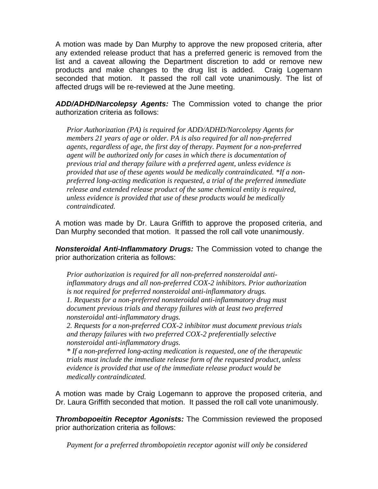A motion was made by Dan Murphy to approve the new proposed criteria, after any extended release product that has a preferred generic is removed from the list and a caveat allowing the Department discretion to add or remove new products and make changes to the drug list is added. Craig Logemann seconded that motion. It passed the roll call vote unanimously. The list of affected drugs will be re-reviewed at the June meeting.

*ADD/ADHD/Narcolepsy Agents:* The Commission voted to change the prior authorization criteria as follows:

*Prior Authorization (PA) is required for ADD/ADHD/Narcolepsy Agents for members 21 years of age or older. PA is also required for all non-preferred agents, regardless of age, the first day of therapy. Payment for a non-preferred agent will be authorized only for cases in which there is documentation of previous trial and therapy failure with a preferred agent, unless evidence is provided that use of these agents would be medically contraindicated. \*If a nonpreferred long-acting medication is requested, a trial of the preferred immediate release and extended release product of the same chemical entity is required, unless evidence is provided that use of these products would be medically contraindicated.* 

A motion was made by Dr. Laura Griffith to approve the proposed criteria, and Dan Murphy seconded that motion. It passed the roll call vote unanimously.

*Nonsteroidal Anti-Inflammatory Drugs:* The Commission voted to change the prior authorization criteria as follows:

*Prior authorization is required for all non-preferred nonsteroidal antiinflammatory drugs and all non-preferred COX-2 inhibitors. Prior authorization is not required for preferred nonsteroidal anti-inflammatory drugs. 1. Requests for a non-preferred nonsteroidal anti-inflammatory drug must document previous trials and therapy failures with at least two preferred nonsteroidal anti-inflammatory drugs.* 

*2. Requests for a non-preferred COX-2 inhibitor must document previous trials and therapy failures with two preferred COX-2 preferentially selective nonsteroidal anti-inflammatory drugs.* 

*\* If a non-preferred long-acting medication is requested, one of the therapeutic trials must include the immediate release form of the requested product, unless evidence is provided that use of the immediate release product would be medically contraindicated.* 

A motion was made by Craig Logemann to approve the proposed criteria, and Dr. Laura Griffith seconded that motion. It passed the roll call vote unanimously.

*Thrombopoeitin Receptor Agonists:* The Commission reviewed the proposed prior authorization criteria as follows:

*Payment for a preferred thrombopoietin receptor agonist will only be considered*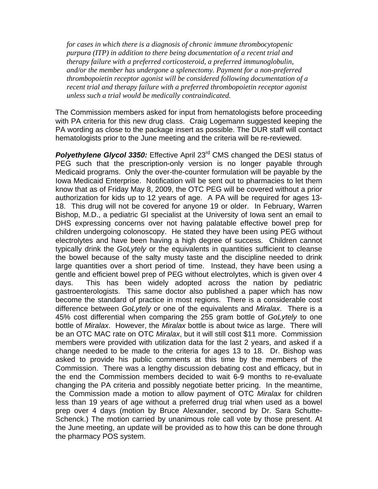*for cases in which there is a diagnosis of chronic immune thrombocytopenic purpura (ITP) in addition to there being documentation of a recent trial and therapy failure with a preferred corticosteroid, a preferred immunoglobulin, and/or the member has undergone a splenectomy. Payment for a non-preferred thrombopoietin receptor agonist will be considered following documentation of a recent trial and therapy failure with a preferred thrombopoietin receptor agonist unless such a trial would be medically contraindicated.* 

The Commission members asked for input from hematologists before proceeding with PA criteria for this new drug class. Craig Logemann suggested keeping the PA wording as close to the package insert as possible. The DUR staff will contact hematologists prior to the June meeting and the criteria will be re-reviewed.

**Polyethylene Glycol 3350:** Effective April 23<sup>rd</sup> CMS changed the DESI status of PEG such that the prescription-only version is no longer payable through Medicaid programs. Only the over-the-counter formulation will be payable by the Iowa Medicaid Enterprise. Notification will be sent out to pharmacies to let them know that as of Friday May 8, 2009, the OTC PEG will be covered without a prior authorization for kids up to 12 years of age. A PA will be required for ages 13- 18. This drug will not be covered for anyone 19 or older. In February, Warren Bishop, M.D., a pediatric GI specialist at the University of Iowa sent an email to DHS expressing concerns over not having palatable effective bowel prep for children undergoing colonoscopy. He stated they have been using PEG without electrolytes and have been having a high degree of success. Children cannot typically drink the *GoLytely* or the equivalents in quantities sufficient to cleanse the bowel because of the salty musty taste and the discipline needed to drink large quantities over a short period of time. Instead, they have been using a gentle and efficient bowel prep of PEG without electrolytes, which is given over 4 days. This has been widely adopted across the nation by pediatric gastroenterologists. This same doctor also published a paper which has now become the standard of practice in most regions. There is a considerable cost difference between *GoLytely* or one of the equivalents and *Miralax*. There is a 45% cost differential when comparing the 255 gram bottle of *GoLytely* to one bottle of *Miralax*. However, the *Miralax* bottle is about twice as large. There will be an OTC MAC rate on OTC *Miralax*, but it will still cost \$11 more. Commission members were provided with utilization data for the last 2 years, and asked if a change needed to be made to the criteria for ages 13 to 18. Dr. Bishop was asked to provide his public comments at this time by the members of the Commission. There was a lengthy discussion debating cost and efficacy, but in the end the Commission members decided to wait 6-9 months to re-evaluate changing the PA criteria and possibly negotiate better pricing. In the meantime, the Commission made a motion to allow payment of OTC *Miralax* for children less than 19 years of age without a preferred drug trial when used as a bowel prep over 4 days (motion by Bruce Alexander, second by Dr. Sara Schutte-Schenck.) The motion carried by unanimous role call vote by those present. At the June meeting, an update will be provided as to how this can be done through the pharmacy POS system.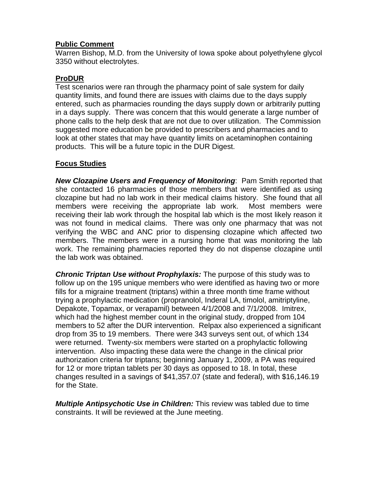## **Public Comment**

Warren Bishop, M.D. from the University of Iowa spoke about polyethylene glycol 3350 without electrolytes.

# **ProDUR**

Test scenarios were ran through the pharmacy point of sale system for daily quantity limits, and found there are issues with claims due to the days supply entered, such as pharmacies rounding the days supply down or arbitrarily putting in a days supply. There was concern that this would generate a large number of phone calls to the help desk that are not due to over utilization. The Commission suggested more education be provided to prescribers and pharmacies and to look at other states that may have quantity limits on acetaminophen containing products. This will be a future topic in the DUR Digest.

# **Focus Studies**

*New Clozapine Users and Frequency of Monitoring*: Pam Smith reported that she contacted 16 pharmacies of those members that were identified as using clozapine but had no lab work in their medical claims history. She found that all members were receiving the appropriate lab work. Most members were receiving their lab work through the hospital lab which is the most likely reason it was not found in medical claims. There was only one pharmacy that was not verifying the WBC and ANC prior to dispensing clozapine which affected two members. The members were in a nursing home that was monitoring the lab work. The remaining pharmacies reported they do not dispense clozapine until the lab work was obtained.

*Chronic Triptan Use without Prophylaxis:* The purpose of this study was to follow up on the 195 unique members who were identified as having two or more fills for a migraine treatment (triptans) within a three month time frame without trying a prophylactic medication (propranolol, Inderal LA, timolol, amitriptyline, Depakote, Topamax, or verapamil) between 4/1/2008 and 7/1/2008. Imitrex, which had the highest member count in the original study, dropped from 104 members to 52 after the DUR intervention. Relpax also experienced a significant drop from 35 to 19 members. There were 343 surveys sent out, of which 134 were returned. Twenty-six members were started on a prophylactic following intervention. Also impacting these data were the change in the clinical prior authorization criteria for triptans; beginning January 1, 2009, a PA was required for 12 or more triptan tablets per 30 days as opposed to 18. In total, these changes resulted in a savings of \$41,357.07 (state and federal), with \$16,146.19 for the State.

*Multiple Antipsychotic Use in Children:* This review was tabled due to time constraints. It will be reviewed at the June meeting.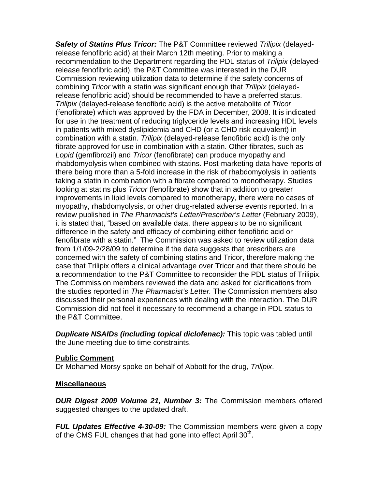*Safety of Statins Plus Tricor:* The P&T Committee reviewed *Trilipix* (delayedrelease fenofibric acid) at their March 12th meeting. Prior to making a recommendation to the Department regarding the PDL status of *Trilipix* (delayedrelease fenofibric acid), the P&T Committee was interested in the DUR Commission reviewing utilization data to determine if the safety concerns of combining *Tricor* with a statin was significant enough that *Trilipix* (delayedrelease fenofibric acid) should be recommended to have a preferred status. *Trilipix* (delayed-release fenofibric acid) is the active metabolite of *Tricor*  (fenofibrate) which was approved by the FDA in December, 2008. It is indicated for use in the treatment of reducing triglyceride levels and increasing HDL levels in patients with mixed dyslipidemia and CHD (or a CHD risk equivalent) in combination with a statin. *Trilipix* (delayed-release fenofibric acid) is the only fibrate approved for use in combination with a statin. Other fibrates, such as *Lopid* (gemfibrozil) and *Tricor* (fenofibrate) can produce myopathy and rhabdomyolysis when combined with statins. Post-marketing data have reports of there being more than a 5-fold increase in the risk of rhabdomyolysis in patients taking a statin in combination with a fibrate compared to monotherapy. Studies looking at statins plus *Tricor* (fenofibrate) show that in addition to greater improvements in lipid levels compared to monotherapy, there were no cases of myopathy, rhabdomyolysis, or other drug-related adverse events reported. In a review published in *The Pharmacist's Letter/Prescriber's Letter* (February 2009), it is stated that, "based on available data, there appears to be no significant difference in the safety and efficacy of combining either fenofibric acid or fenofibrate with a statin." The Commission was asked to review utilization data from 1/1/09-2/28/09 to determine if the data suggests that prescribers are concerned with the safety of combining statins and Tricor, therefore making the case that Trilipix offers a clinical advantage over Tricor and that there should be a recommendation to the P&T Committee to reconsider the PDL status of Trilipix. The Commission members reviewed the data and asked for clarifications from the studies reported in *The Pharmacist's Letter.* The Commission members also discussed their personal experiences with dealing with the interaction. The DUR Commission did not feel it necessary to recommend a change in PDL status to the P&T Committee.

*Duplicate NSAIDs (including topical diclofenac):* This topic was tabled until the June meeting due to time constraints.

# **Public Comment**

Dr Mohamed Morsy spoke on behalf of Abbott for the drug, *Trilipix*.

## **Miscellaneous**

*DUR Digest 2009 Volume 21, Number 3:* The Commission members offered suggested changes to the updated draft.

*FUL Updates Effective 4-30-09:* The Commission members were given a copy of the CMS FUL changes that had gone into effect April  $30<sup>th</sup>$ .